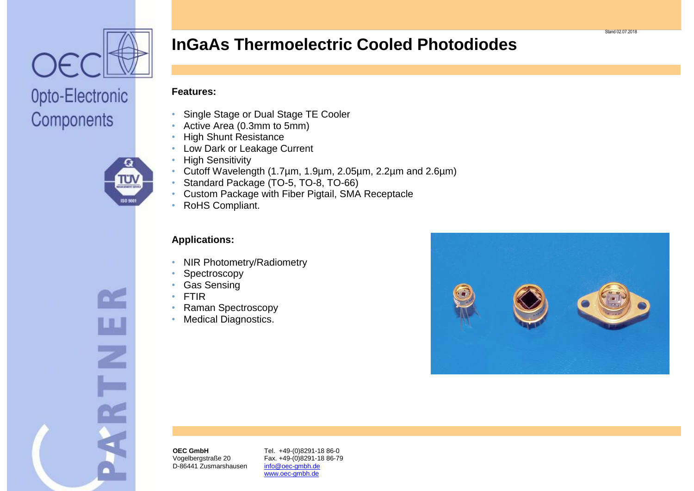

Components

## **InGaAs Thermoelectric Cooled Photodiodes**

#### **Features:**

- Single Stage or Dual Stage TE Cooler
- Active Area (0.3mm to 5mm)
- High Shunt Resistance
- Low Dark or Leakage Current
- High Sensitivity
- 

Z

- Cutoff Wavelength (1.7µm, 1.9µm, 2.05µm, 2.2µm and 2.6µm)
- Standard Package (TO-5, TO-8, TO-66)
- Custom Package with Fiber Pigtail, SMA Receptacle
- RoHS Compliant.

#### **Applications:**

- NIR Photometry/Radiometry
- **Spectroscopy**
- Gas Sensing
- FTIR
- Raman Spectroscopy
- Medical Diagnostics.



**OEC GmbH** Vogelbergstraße 20 D-86441 Zusmarshausen Tel. +49-(0)8291-18 86-0 Fax. +49-(0)8291-18 86-79 info@oec-gmbh.de www.oec-gmbh.de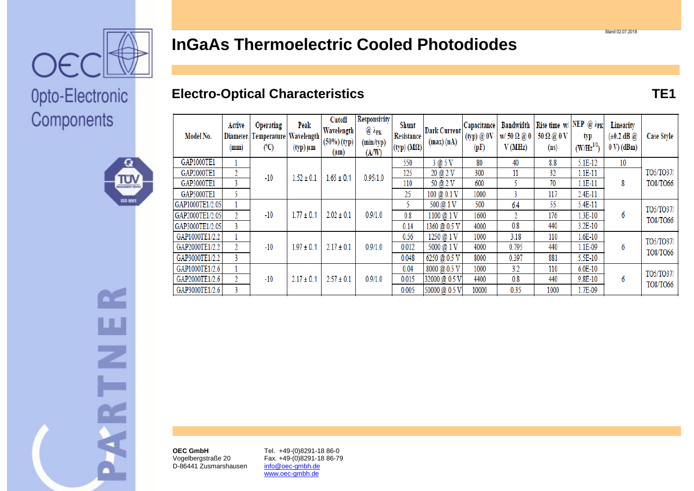

# Opto-Electronic Components



 $\sum$ 

Ш

 $\overline{z}$ 

ARTI

| Model No.       | Active<br>Diameter  <br>(mm) | <b>Operating</b><br>Temperature Wavelength<br>(°C) | Peak<br>$(typ) \mu m$ | Cutoff<br>Wavelength<br>$(50%)$ (typ)<br>(µm) | <b>Responsivity</b><br>$@$ $\lambda_{\text{PK}}$<br>(min/typ)<br>(A/W) | <b>Shunt</b><br><b>Resistance</b><br>$(typ)$ (M $\Omega$ ) | <b>Dark Current</b><br>(max) (nA) | Capacitance<br>(typ) @ 0V<br>(pF) | <b>Bandwidth</b><br>$w/50 \Omega$ @ 0<br>V(MHz) | Rise time $w/$ NEP @ $\lambda_{PK}$<br>50 Ω @ 0 V<br>(n <sub>s</sub> ) | typ<br>$(W/Hz^{1/2})$ | Linearity<br>$(\pm 0.2 \text{ dB } \omega)$<br>$0 V$ ) (dBm) | <b>Case Style</b> |
|-----------------|------------------------------|----------------------------------------------------|-----------------------|-----------------------------------------------|------------------------------------------------------------------------|------------------------------------------------------------|-----------------------------------|-----------------------------------|-------------------------------------------------|------------------------------------------------------------------------|-----------------------|--------------------------------------------------------------|-------------------|
| GAP1000TE1      |                              | $-10$                                              | $1.52 \pm 0.1$        | $1.65 \pm 0.1$                                | 0.95/1.0                                                               | 550                                                        | 3@5V                              | 80                                | 40                                              | 8.8                                                                    | 5.1E-12               | 10                                                           |                   |
| GAP2000TE1      | 2                            |                                                    |                       |                                               |                                                                        | 125                                                        | 20 @ 2 V                          | 300                               | 11                                              | 32                                                                     | $1.1E-11$             | 8                                                            | TO5/TO37/         |
| GAP3000TE1      |                              |                                                    |                       |                                               |                                                                        | 110                                                        | 50 @ 2 V                          | 600                               |                                                 | 70                                                                     | $1.1E-11$             |                                                              | TO8/TO66          |
| GAP5000TE1      |                              |                                                    |                       |                                               |                                                                        | 25                                                         | $100 \ (20.1 V)$                  | 1000                              |                                                 | 117                                                                    | 2.4E-11               |                                                              |                   |
| GAP1000TE1/2.05 |                              | $-10$                                              | $1.77 \pm 0.1$        | $2.02 \pm 0.1$                                | 0.9/1.0                                                                |                                                            | 500 @ 1 V                         | 500                               | 6.4                                             | 55                                                                     | 5.4E-11               | 6                                                            | TO5/TO37/         |
| GAP2000TE1/2.05 | $\mathfrak{2}^-$             |                                                    |                       |                                               |                                                                        | 0.8                                                        | 1100 @ 1 V                        | 1600                              | 2                                               | 176                                                                    | $1.3E-10$             |                                                              | TO8/TO66          |
| GAP3000TE1/2.05 |                              |                                                    |                       |                                               |                                                                        | 0.14                                                       | 1360 @ 0.5 V                      | 4000                              | 0.8                                             | 440                                                                    | 3.2E-10               |                                                              |                   |
| GAP1000TE1/2.2  |                              | $-10$                                              | $1.97 \pm 0.1$        | $2.17 \pm 0.1$                                | 0.9/1.0                                                                | 0.56                                                       | 1250 @ 1 V                        | 1000                              | 3.18                                            | 110                                                                    | $1.6E-10$             |                                                              | TO5/TO37/         |
| GAP2000TE1/2.2  | 2                            |                                                    |                       |                                               |                                                                        | 0.012                                                      | 5000 @ 1 V                        | 4000                              | 0.795                                           | 440                                                                    | 1.1E-09               | 6                                                            | TO8/TO66          |
| GAP3000TE1/2.2  |                              |                                                    |                       |                                               |                                                                        | 0.048                                                      | 6250 @ 0.5 V                      | 8000                              | 0397                                            | 881                                                                    | 5.5E-10               |                                                              |                   |

 $0.04$ 

 $0.015$ 

0.005

8000 @ 0.5 V

32000 @ 0.5 V

50000 @ 0.5 V

1000

4400

10000

 $3.2$ 

 $0.8$ 

0.35

110

440

1000

 $6.0E-10$ 

9.8E-10

1.7E-09

6

# **InGaAs Thermoelectric Cooled Photodiodes**

#### **Electro-Optical Characteristics TE1**

**OEC GmbH** Vogelbergstraße 20 D-86441 Zusmarshausen

GAP1000TE1/2.6

GAP2000TE1/2.6

GAP3000TE1/2.6

 $\overline{1}$ 

 $\overline{2}$ 

 $\overline{3}$ 

 $-10$ 

 $2.17 \pm 0.1$ 

 $2.57 \pm 0.1$ 

 $0.9/1.0$ 

Tel. +49-(0)8291-18 86-0 Fax. +49-(0)8291-18 86-79 info@oec-gmbh.de www.oec-gmbh.de

TO5/TO37/

TO8/TO66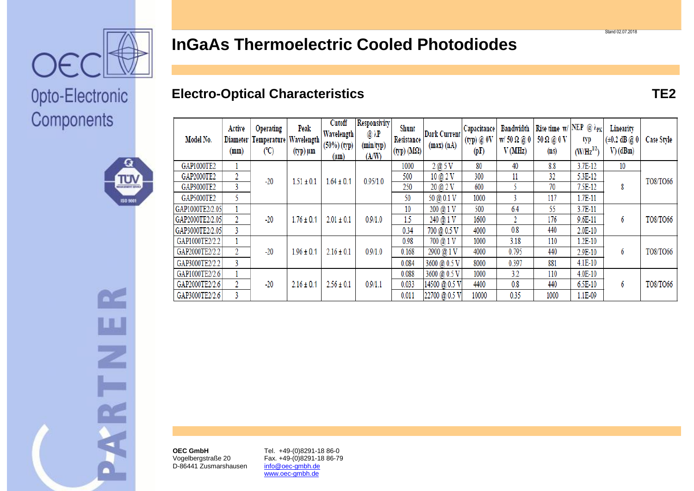

## **InGaAs Thermoelectric Cooled Photodiodes**

### **Electro-Optical Characteristics TE2**

| Model No.       | Active<br>Diameter<br>(mm) | <b>Operating</b><br>Temperature<br>(C) | Peak<br>Wavelength<br>(typ) μm | Cutoff<br><b>Wavelength</b><br>(50%) (typ)<br>$(\mu m)$ | <b>Responsivity</b><br>$@~\lambda$ P<br>(min/typ)<br>(A/W) | <b>Shunt</b><br>Resistance<br>$(typ)$ (M $\Omega$ ) | <b>Dark Current</b><br>(max) (nA) | Capacitance<br>(typ) @ 0V<br>(pF) | <b>Bandwidth</b><br>$w/50 \Omega$ @ 0<br>V(MHz) | Rise time w/ NEP @ $\lambda_{\text{PK}}$<br>50 Ω @ 0 V<br>(n <sub>s</sub> ) | typ<br>$(W/Hz^{1/2})$ | Linearity<br>$(\pm 0.2 \, \text{dB} \, @ \, 0)$<br>$V)$ (dBm) | <b>Case Style</b> |
|-----------------|----------------------------|----------------------------------------|--------------------------------|---------------------------------------------------------|------------------------------------------------------------|-----------------------------------------------------|-----------------------------------|-----------------------------------|-------------------------------------------------|-----------------------------------------------------------------------------|-----------------------|---------------------------------------------------------------|-------------------|
| GAP1000TE2      |                            | $-20$                                  | $1.51 \pm 0.1$                 | $1.64 \pm 0.1$                                          | 0.95/1.0                                                   | 1000                                                | 2@5V                              | 80                                | 40                                              | 8.8                                                                         | $3.7E-12$             | 10                                                            | TO8/TO66          |
| GAP2000TE2      | 2                          |                                        |                                |                                                         |                                                            | 500                                                 | $10 \ (2)$ V                      | 300                               | 11                                              | 32                                                                          | 5.3E-12               |                                                               |                   |
| GAP3000TE2      |                            |                                        |                                |                                                         |                                                            | 250                                                 | 20 @ 2 V                          | 600                               |                                                 | 70                                                                          | 7.5E-12               | 8                                                             |                   |
| GAP5000TE2      | 5.                         |                                        |                                |                                                         |                                                            | 50                                                  | 50 @ 0.1 V                        | 1000                              | 3                                               | 117                                                                         | $1.7E-11$             |                                                               |                   |
| GAP1000TE2/2.05 |                            | $-20$                                  | $1.76 \pm 0.1$                 | $2.01 \pm 0.1$                                          | 0.9/1.0                                                    | 10                                                  | 200 @ 1 V                         | 500                               | 6.4                                             | 55                                                                          | 3.7E-11               | 6                                                             | TO8/TO66          |
| GAP2000TE2/2.05 |                            |                                        |                                |                                                         |                                                            | 1.5                                                 | 240 @ 1 V                         | 1600                              | 2                                               | 176                                                                         | $9.6E - 11$           |                                                               |                   |
| GAP3000TE2/2.05 | 3.                         |                                        |                                |                                                         |                                                            | 0.34                                                | 700 @ 0.5 V                       | 4000                              | 0.8                                             | 440                                                                         | $2.0E-10$             |                                                               |                   |
| GAP1000TE2/2.2  |                            | $-20$                                  | $1.96 \pm 0.1$                 | $2.16 \pm 0.1$                                          | 0.9/1.0                                                    | 0.98                                                | 700 @ 1 V                         | 1000                              | 3.18                                            | 110                                                                         | $1.2E-10$             | 6                                                             | TO8/TO66          |
| GAP2000TE2/2.2  |                            |                                        |                                |                                                         |                                                            | 0.168                                               | 2900 @ 1 V                        | 4000                              | 0.795                                           | 440                                                                         | 2.9E-10               |                                                               |                   |
| GAP3000TE2/2.2  | 3.                         |                                        |                                |                                                         |                                                            | 0.084                                               | 3600 @ 0.5 V                      | 8000                              | 0.397                                           | 881                                                                         | $4.1E-10$             |                                                               |                   |
| GAP1000TE2/2.6  |                            | $-20$                                  | $2.16 \pm 0.1$                 | $2.56 \pm 0.1$                                          | 0.9/1.1                                                    | 0.088                                               | 3600 @ 0.5 V                      | 1000                              | 3.2                                             | 110                                                                         | 4.0E-10               | 6                                                             | TO8/TO66          |
| GAP2000TE2/2.6  | 2                          |                                        |                                |                                                         |                                                            | 0.033                                               | 14500 @ 0.5 V                     | 4400                              | 0.8                                             | 440                                                                         | 6.5E-10               |                                                               |                   |
| GAP3000TE2/2.6  |                            |                                        |                                |                                                         |                                                            | 0.011                                               | 22700 @ 0.5 V                     | 10000                             | 0.35                                            | 1000                                                                        | 1.1E-09               |                                                               |                   |

Opto-Electronic Components





**OEC GmbH** Vogelbergstraße 20 D-86441 Zusmarshausen Tel. +49-(0)8291-18 86-0 Fax. +49-(0)8291-18 86-79 info@oec-gmbh.de www.oec-gmbh.de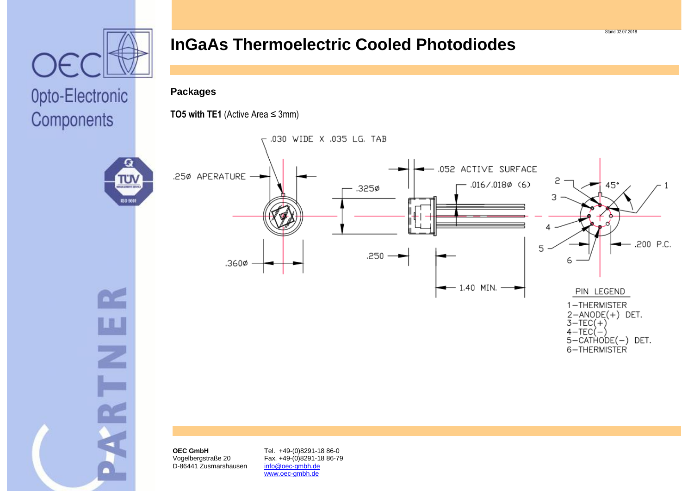

π'N

**ISO 50** 

Ш

Z

Components

## **InGaAs Thermoelectric Cooled Photodiodes**

#### **Packages**

**TO5 with TE1** (Active Area ≤ 3mm)



**OEC GmbH** Vogelbergstraße 20 D-86441 Zusmarshausen

Tel. +49-(0)8291-18 86-0 Fax. +49-(0)8291-18 86-79 info@oec-gmbh.de www.oec-gmbh.de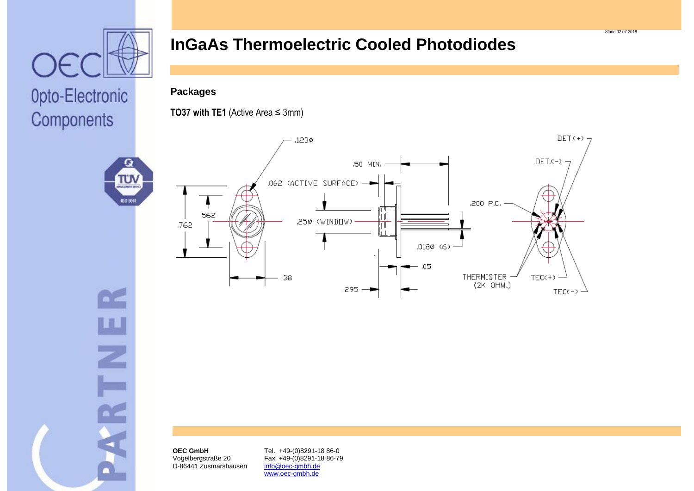

πл

**ISO 50** 

Components

### **InGaAs Thermoelectric Cooled Photodiodes**

#### **Packages**

**TO37 with TE1** (Active Area ≤ 3mm)





**OEC GmbH** Vogelbergstraße 20 D-86441 Zusmarshausen

Tel. +49-(0)8291-18 86-0 Fax. +49-(0)8291-18 86-79 info@oec-gmbh.de www.oec-gmbh.de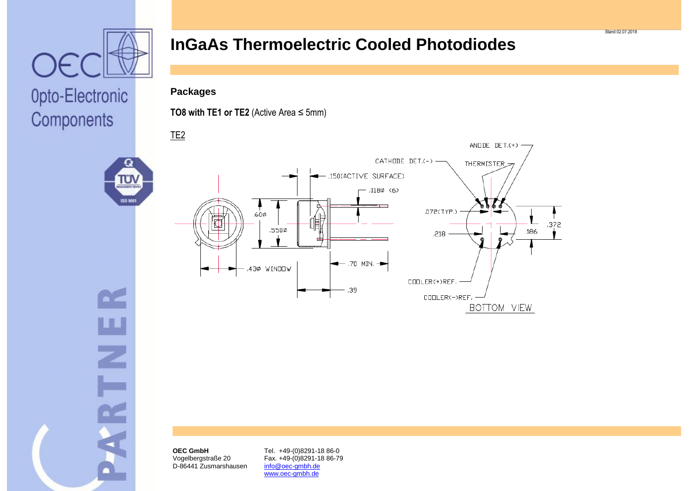

TU١

isa an

 $\sum$ 

ய

 $\overline{z}$ 

**ELSK** 

Components

### **InGaAs Thermoelectric Cooled Photodiodes**

#### **Packages**

**TO8 with TE1 or TE2** (Active Area  $\leq$  5mm)



Stand 02.07.2018

**OEC GmbH** Vogelbergstraße 20 D-86441 Zusmarshausen

Tel. +49-(0)8291-18 86-0 Fax. +49-(0)8291-18 86-79 info@oec-gmbh.de www.oec-gmbh.de